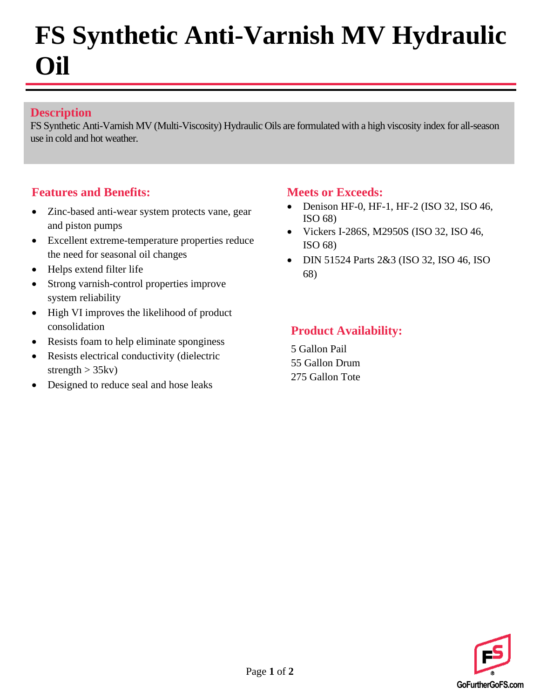# **FS Synthetic Anti-Varnish MV Hydraulic Oil**

#### **Description**

FS Synthetic Anti-Varnish MV (Multi-Viscosity) Hydraulic Oils are formulated with a high viscosity index for all-season use in cold and hot weather.

#### **Features and Benefits:**

- Zinc-based anti-wear system protects vane, gear and piston pumps
- Excellent extreme-temperature properties reduce the need for seasonal oil changes
- Helps extend filter life
- Strong varnish-control properties improve system reliability
- High VI improves the likelihood of product consolidation
- Resists foam to help eliminate sponginess
- Resists electrical conductivity (dielectric strength  $> 35$ kv)
- Designed to reduce seal and hose leaks

#### **Meets or Exceeds:**

- Denison HF-0, HF-1, HF-2 (ISO 32, ISO 46, ISO 68)
- Vickers I-286S, M2950S (ISO 32, ISO 46, ISO 68)
- DIN 51524 Parts 2&3 (ISO 32, ISO 46, ISO 68)

### **Product Availability:**

5 Gallon Pail 55 Gallon Drum 275 Gallon Tote